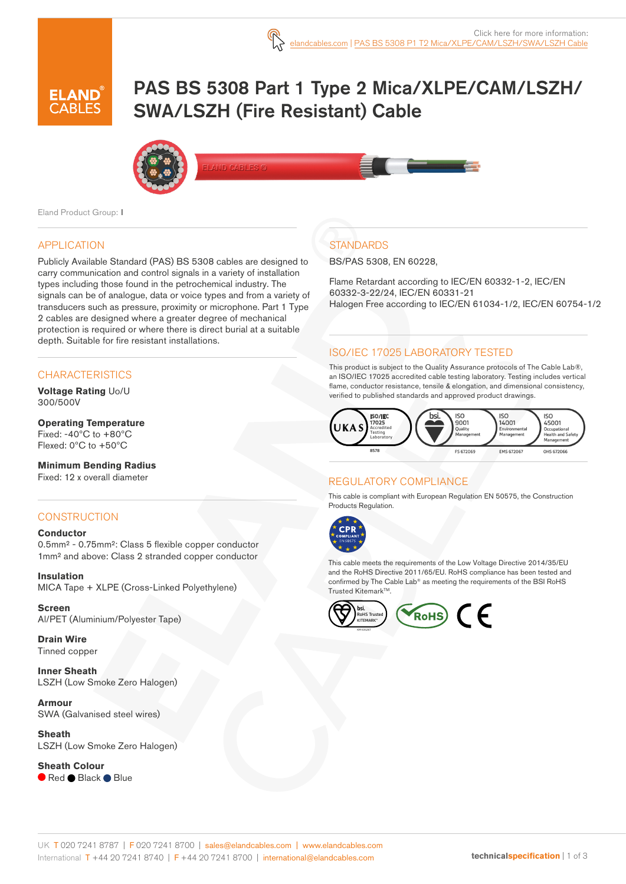

# PAS BS 5308 Part 1 Type 2 Mica/XLPE/CAM/LSZH/ SWA/LSZH (Fire Resistant) Cable



.<br>And cables @

Eland Product Group: I

#### APPLICATION

Publicly Available Standard (PAS) BS 5308 cables are designed to carry communication and control signals in a variety of installation types including those found in the petrochemical industry. The signals can be of analogue, data or voice types and from a variety of transducers such as pressure, proximity or microphone. Part 1 Type 2 cables are designed where a greater degree of mechanical protection is required or where there is direct burial at a suitable depth. Suitable for fire resistant installations.

#### **CHARACTERISTICS**

**Voltage Rating** Uo/U 300/500V

#### **Operating Temperature** Fixed: -40ºC to +80ºC Flexed: 0ºC to +50ºC

**Minimum Bending Radius**  Fixed: 12 x overall diameter

#### **CONSTRUCTION**

#### **Conductor**

0.5mm² - 0.75mm²: Class 5 flexible copper conductor 1mm² and above: Class 2 stranded copper conductor

**Insulation** MICA Tape + XLPE (Cross-Linked Polyethylene)

**Screen** Al/PET (Aluminium/Polyester Tape)

**Drain Wire** Tinned copper

**Inner Sheath** LSZH (Low Smoke Zero Halogen)

**Armour** SWA (Galvanised steel wires)

**Sheath** LSZH (Low Smoke Zero Halogen)

**Sheath Colour** Red Black Blue

### **STANDARDS**

BS/PAS 5308, EN 60228,

Flame Retardant according to IEC/EN 60332-1-2, IEC/EN 60332-3-22/24, IEC/EN 60331-21 Halogen Free according to IEC/EN 61034-1/2, IEC/EN 60754-1/2

#### ISO/IEC 17025 LABORATORY TESTED

This product is subject to the Quality Assurance protocols of The Cable Lab®, an ISO/IEC 17025 accredited cable testing laboratory. Testing includes vertical flame, conductor resistance, tensile & elongation, and dimensional consistency, verified to published standards and approved product drawings.



#### REGULATORY COMPLIANCE

This cable is compliant with European Regulation EN 50575, the Construction Products Regulation.



This cable meets the requirements of the Low Voltage Directive 2014/35/EU and the RoHS Directive 2011/65/EU. RoHS compliance has been tested and confirmed by The Cable Lab® as meeting the requirements of the BSI RoHS Trusted KitemarkTM.

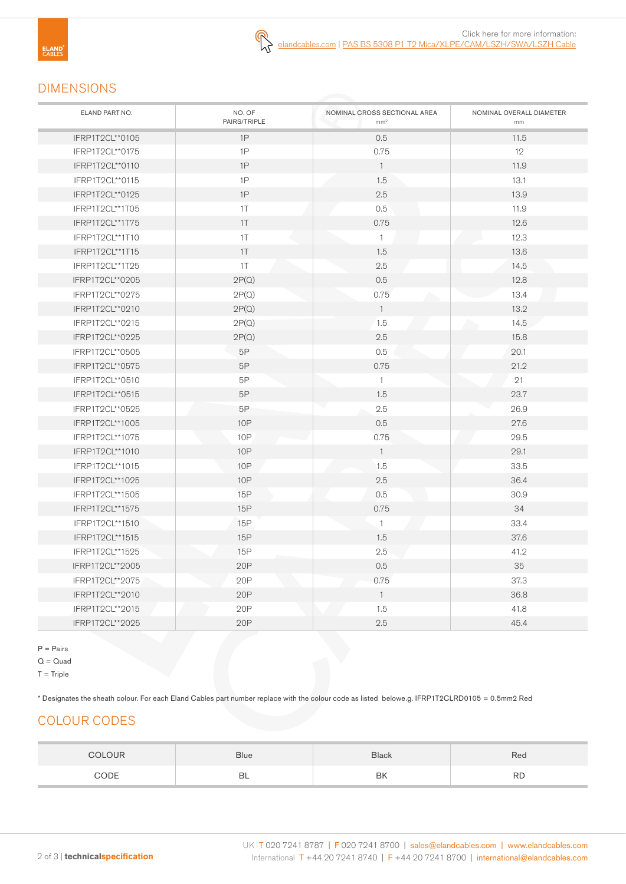

Click here for more information: [elandca](https://www.elandcables.com)bles.com | PAS BS 5308 P1 T2 [Mica/XLPE/CAM/LSZH/SWA/LSZH](https://www.elandcables.com/cables/bs5308-pas-5308-part-1-type-2-cables) Cable

## DIMENSIONS

| ELAND PART NO.  | NO. OF<br>PAIRS/TRIPLE | NOMINAL CROSS SECTIONAL AREA<br>mm <sup>2</sup> | NOMINAL OVERALL DIAMETER<br>mm |
|-----------------|------------------------|-------------------------------------------------|--------------------------------|
| IFRP1T2CL**0105 | 1P                     | 0.5                                             | 11.5                           |
| IFRP1T2CL**0175 | 1P                     | 0.75                                            | 12                             |
| IFRP1T2CL**0110 | 1P                     | $\mathbf{1}$                                    | 11.9                           |
| IFRP1T2CL**0115 | 1P                     | 1.5                                             | 13.1                           |
| IFRP1T2CL**0125 | 1P                     | 2.5                                             | 13.9                           |
| IFRP1T2CL**1T05 | $1\top$                | 0.5                                             | 11.9                           |
| IFRP1T2CL**1T75 | 1T                     | 0.75                                            | 12.6                           |
| IFRP1T2CL**1T10 | 1T                     | $\mathbf{1}$                                    | 12.3                           |
| IFRP1T2CL**1T15 | 1T                     | 1.5                                             | 13.6                           |
| IFRP1T2CL**1T25 | 1T                     | 2.5                                             | 14.5                           |
| IFRP1T2CL**0205 | 2P(Q)                  | 0.5                                             | 12.8                           |
| IFRP1T2CL**0275 | 2P(Q)                  | 0.75                                            | 13.4                           |
| IFRP1T2CL**0210 | 2P(Q)                  | $\overline{1}$                                  | 13.2                           |
| IFRP1T2CL**0215 | 2P(Q)                  | 1.5                                             | 14.5                           |
| IFRP1T2CL**0225 | 2P(Q)                  | 2.5                                             | 15.8                           |
| IFRP1T2CL**0505 | $5\mathsf{P}$          | 0.5                                             | 20.1                           |
| IFRP1T2CL**0575 | 5P                     | 0.75                                            | 21.2                           |
| IFRP1T2CL**0510 | 5P                     | $\mathbf{1}$                                    | 21                             |
| IFRP1T2CL**0515 | 5P                     | 1.5                                             | 23.7                           |
| IFRP1T2CL**0525 | 5Р                     | 2.5                                             | 26.9                           |
| IFRP1T2CL**1005 | 10P                    | 0.5                                             | 27.6                           |
| IFRP1T2CL**1075 | 10P                    | 0.75                                            | 29.5                           |
| IFRP1T2CL**1010 | <b>10P</b>             | $\mathbf{1}$                                    | 29.1                           |
| IFRP1T2CL**1015 | <b>10P</b>             | 1.5                                             | 33.5                           |
| IFRP1T2CL**1025 | 10P                    | 2.5                                             | 36.4                           |
| IFRP1T2CL**1505 | 15P                    | 0.5                                             | 30.9                           |
| IFRP1T2CL**1575 | 15P                    | 0.75                                            | 34                             |
| IFRP1T2CL**1510 | 15P                    | $\mathbf{1}$                                    | 33.4                           |
| IFRP1T2CL**1515 | 15P                    | 1.5                                             | 37.6                           |
| IFRP1T2CL**1525 | 15P                    | 2.5                                             | 41.2                           |
| IFRP1T2CL**2005 | 20P                    | 0.5                                             | 35                             |
| IFRP1T2CL**2075 | 20P                    | 0.75                                            | 37.3                           |
| IFRP1T2CL**2010 | 20P                    | $\overline{1}$                                  | 36.8                           |
| IFRP1T2CL**2015 | 20P                    | 1.5                                             | 41.8                           |
| IFRP1T2CL**2025 | 20P                    | 2.5                                             | 45.4                           |

P = Pairs

 $Q = Quad$ 

 $T =$ Triple

\* Designates the sheath colour. For each Eland Cables part number replace with the colour code as listed belowe.g. IFRP1T2CLRD0105 = 0.5mm2 Red

## COLOUR CODES

| <b>OLOUR</b> | <b>Blue</b> | <b>Black</b> | Rea       |
|--------------|-------------|--------------|-----------|
| CODE         | BL          | BK           | <b>RD</b> |